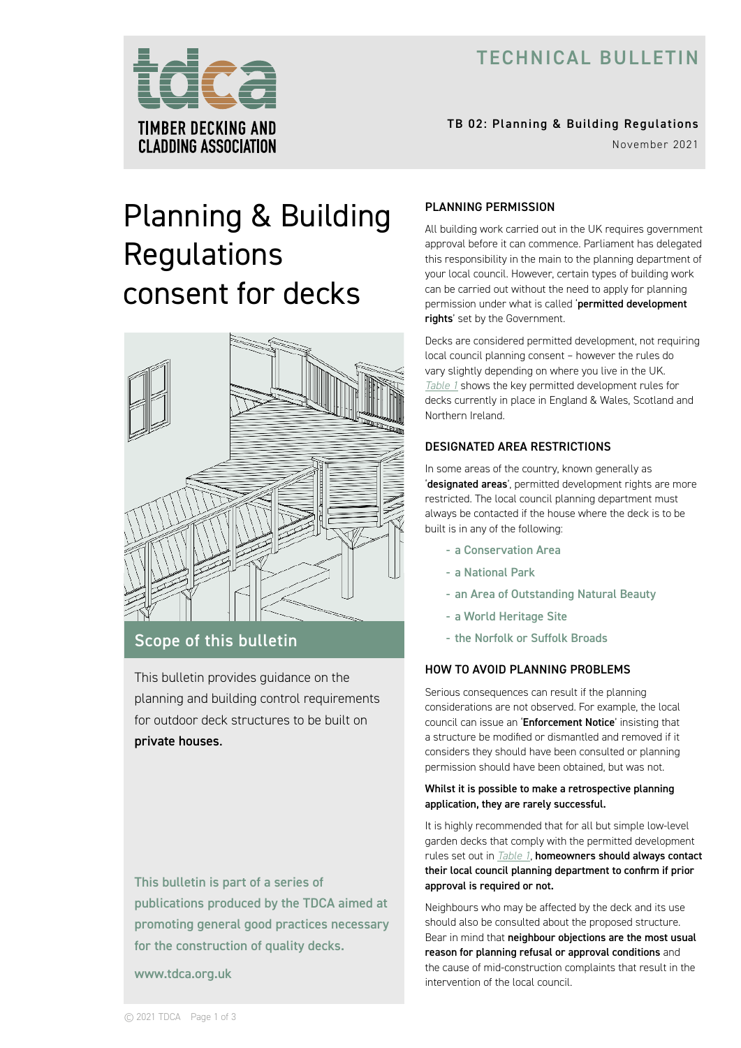# TECHNICAL BULLETIN



# TB 02: Planning & Building Regulations

November 2021

# Planning & Building **Regulations** consent for decks



# Scope of this bulletin

This bulletin provides guidance on the planning and building control requirements for outdoor deck structures to be built on private houses.

This bulletin is part of a series of publications produced by the TDCA aimed at promoting general good practices necessary for the construction of quality decks.

www.tdca.org.uk

# PLANNING PERMISSION

All building work carried out in the UK requires government approval before it can commence. Parliament has delegated this responsibility in the main to the planning department of your local council. However, certain types of building work can be carried out without the need to apply for planning permission under what is called 'permitted development rights' set by the Government.

Decks are considered permitted development, not requiring local council planning consent – however the rules do vary slightly depending on where you live in the UK. *[Table 1](#page-1-0)* shows the key permitted development rules for decks currently in place in England & Wales, Scotland and Northern Ireland.

# DESIGNATED AREA RESTRICTIONS

In some areas of the country, known generally as 'designated areas', permitted development rights are more restricted. The local council planning department must always be contacted if the house where the deck is to be built is in any of the following:

- a Conservation Area
- a National Park
- an Area of Outstanding Natural Beauty
- a World Heritage Site
- the Norfolk or Suffolk Broads

# HOW TO AVOID PLANNING PROBLEMS

Serious consequences can result if the planning considerations are not observed. For example, the local council can issue an 'Enforcement Notice' insisting that a structure be modified or dismantled and removed if it considers they should have been consulted or planning permission should have been obtained, but was not.

#### Whilst it is possible to make a retrospective planning application, they are rarely successful.

It is highly recommended that for all but simple low-level garden decks that comply with the permitted development rules set out in *[Table 1](#page-1-0)*, homeowners should always contact their local council planning department to confirm if prior approval is required or not.

Neighbours who may be affected by the deck and its use should also be consulted about the proposed structure. Bear in mind that neighbour objections are the most usual reason for planning refusal or approval conditions and the cause of mid-construction complaints that result in the intervention of the local council.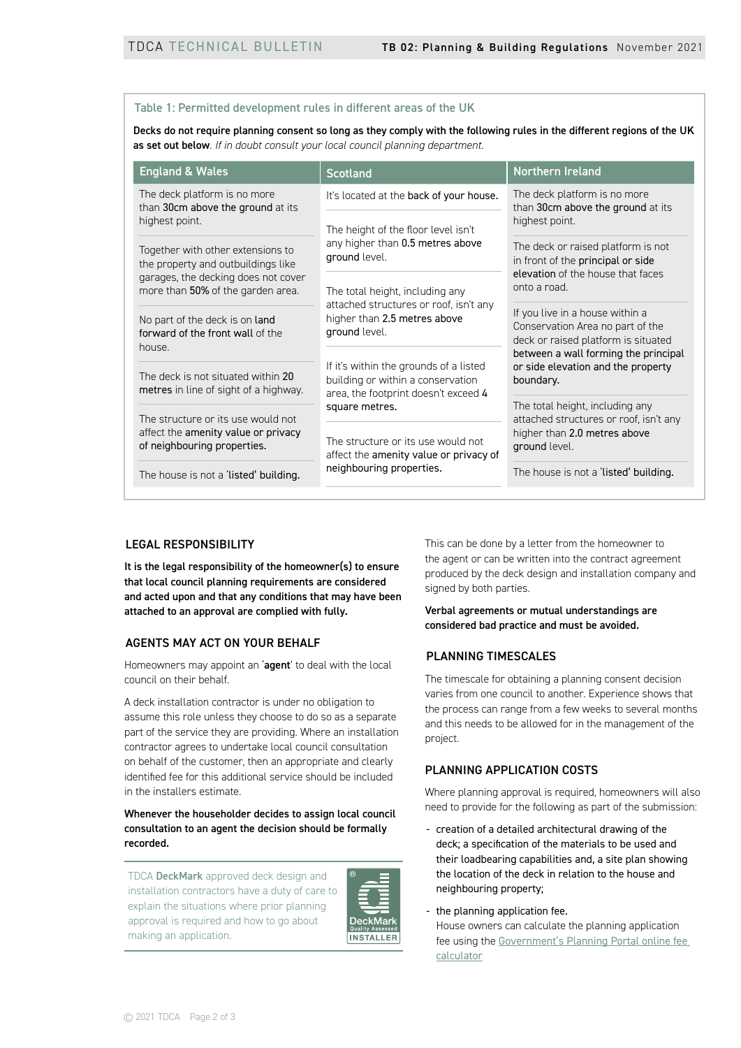#### <span id="page-1-0"></span>Table 1: Permitted development rules in different areas of the UK

Decks do not require planning consent so long as they comply with the following rules in the different regions of the UK as set out below. *If in doubt consult your local council planning department*.

| <b>England &amp; Wales</b>                                                                                                                          | <b>Scotland</b>                                                                                                            | Northern Ireland                                                                                                                                                                                      |
|-----------------------------------------------------------------------------------------------------------------------------------------------------|----------------------------------------------------------------------------------------------------------------------------|-------------------------------------------------------------------------------------------------------------------------------------------------------------------------------------------------------|
| The deck platform is no more<br>than 30cm above the ground at its<br>highest point.                                                                 | It's located at the back of your house.                                                                                    | The deck platform is no more<br>than 30cm above the ground at its<br>highest point.                                                                                                                   |
|                                                                                                                                                     | The height of the floor level isn't<br>any higher than 0.5 metres above<br>ground level.                                   |                                                                                                                                                                                                       |
| Together with other extensions to<br>the property and outbuildings like<br>garages, the decking does not cover<br>more than 50% of the garden area. |                                                                                                                            | The deck or raised platform is not<br>in front of the principal or side<br>elevation of the house that faces<br>onto a road.                                                                          |
|                                                                                                                                                     | The total height, including any                                                                                            |                                                                                                                                                                                                       |
| No part of the deck is on land<br>forward of the front wall of the<br>house.                                                                        | attached structures or roof, isn't any<br>higher than 2.5 metres above<br>ground level.                                    | If you live in a house within a<br>Conservation Area no part of the<br>deck or raised platform is situated<br>between a wall forming the principal<br>or side elevation and the property<br>boundary. |
| The deck is not situated within 20<br>metres in line of sight of a highway.                                                                         | If it's within the grounds of a listed<br>building or within a conservation<br>area, the footprint doesn't exceed 4        |                                                                                                                                                                                                       |
| The structure or its use would not                                                                                                                  | square metres.<br>The structure or its use would not<br>affect the amenity value or privacy of<br>neighbouring properties. | The total height, including any<br>attached structures or roof, isn't any<br>higher than 2.0 metres above<br>ground level.                                                                            |
| affect the amenity value or privacy<br>of neighbouring properties.                                                                                  |                                                                                                                            |                                                                                                                                                                                                       |
| The house is not a 'listed' building.                                                                                                               |                                                                                                                            | The house is not a 'listed' building.                                                                                                                                                                 |

#### LEGAL RESPONSIBILITY

It is the legal responsibility of the homeowner(s) to ensure that local council planning requirements are considered and acted upon and that any conditions that may have been attached to an approval are complied with fully.

#### AGENTS MAY ACT ON YOUR BEHALF

Homeowners may appoint an 'agent' to deal with the local council on their behalf.

A deck installation contractor is under no obligation to assume this role unless they choose to do so as a separate part of the service they are providing. Where an installation contractor agrees to undertake local council consultation on behalf of the customer, then an appropriate and clearly identified fee for this additional service should be included in the installers estimate.

## Whenever the householder decides to assign local council consultation to an agent the decision should be formally recorded.

TDCA DeckMark approved deck design and installation contractors have a duty of care to explain the situations where prior planning approval is required and how to go about making an application.



This can be done by a letter from the homeowner to the agent or can be written into the contract agreement produced by the deck design and installation company and signed by both parties.

#### Verbal agreements or mutual understandings are considered bad practice and must be avoided.

#### PLANNING TIMESCALES

The timescale for obtaining a planning consent decision varies from one council to another. Experience shows that the process can range from a few weeks to several months and this needs to be allowed for in the management of the project.

# PLANNING APPLICATION COSTS

Where planning approval is required, homeowners will also need to provide for the following as part of the submission:

- creation of a detailed architectural drawing of the deck; a specification of the materials to be used and their loadbearing capabilities and, a site plan showing the location of the deck in relation to the house and neighbouring property;
- the planning application fee.

House owners can calculate the planning application fee using the [Government's Planning Portal online fee](https://www.planningportal.co.uk/info/200232/planning_applications/59/how_to_apply/7)  [calculator](https://www.planningportal.co.uk/info/200232/planning_applications/59/how_to_apply/7)